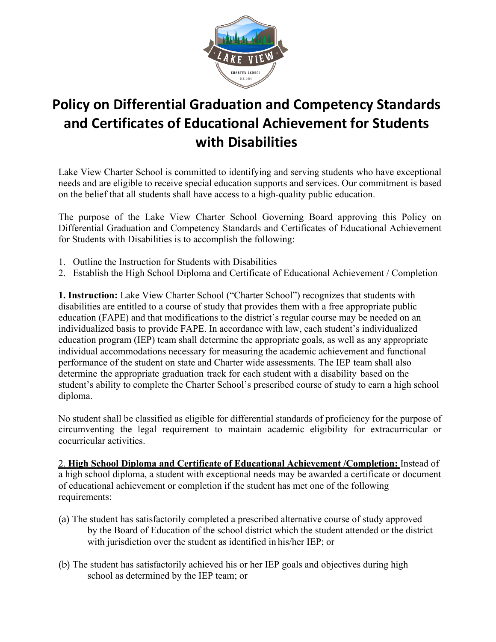

## **Policy on Differential Graduation and Competency Standards and Certificates of Educational Achievement for Students with Disabilities**

Lake View Charter School is committed to identifying and serving students who have exceptional needs and are eligible to receive special education supports and services. Our commitment is based on the belief that all students shall have access to a high-quality public education.

The purpose of the Lake View Charter School Governing Board approving this Policy on Differential Graduation and Competency Standards and Certificates of Educational Achievement for Students with Disabilities is to accomplish the following:

- 1. Outline the Instruction for Students with Disabilities
- 2. Establish the High School Diploma and Certificate of Educational Achievement / Completion

**1. Instruction:** Lake View Charter School ("Charter School") recognizes that students with disabilities are entitled to a course of study that provides them with a free appropriate public education (FAPE) and that modifications to the district's regular course may be needed on an individualized basis to provide FAPE. In accordance with law, each student's individualized education program (IEP) team shall determine the appropriate goals, as well as any appropriate individual accommodations necessary for measuring the academic achievement and functional performance of the student on state and Charter wide assessments. The IEP team shall also determine the appropriate graduation track for each student with a disability based on the student's ability to complete the Charter School's prescribed course of study to earn a high school diploma.

No student shall be classified as eligible for differential standards of proficiency for the purpose of circumventing the legal requirement to maintain academic eligibility for extracurricular or cocurricular activities.

2. **High School Diploma and Certificate of Educational Achievement /Completion:** Instead of a high school diploma, a student with exceptional needs may be awarded a certificate or document of educational achievement or completion if the student has met one of the following requirements:

- (a) The student has satisfactorily completed a prescribed alternative course of study approved by the Board of Education of the school district which the student attended or the district with jurisdiction over the student as identified in his/her IEP; or
- (b) The student has satisfactorily achieved his or her IEP goals and objectives during high school as determined by the IEP team; or